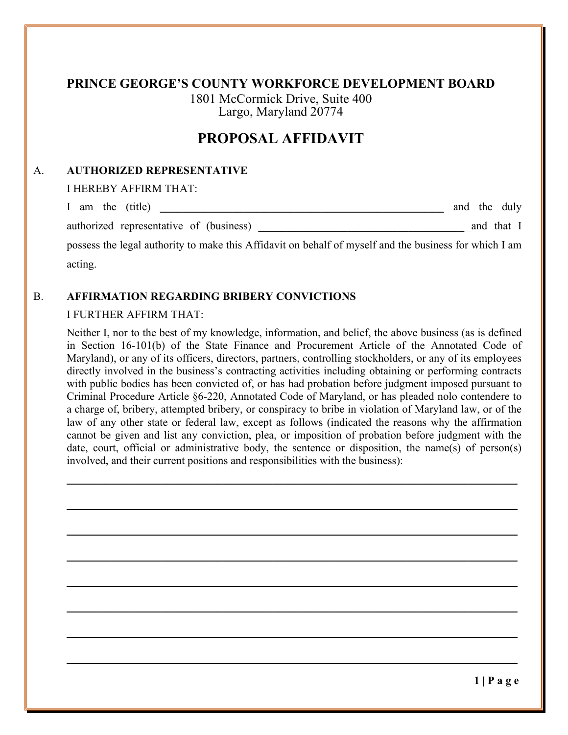# **PROPOSAL AFFIDAVIT**

### A. **AUTHORIZED REPRESENTATIVE**

I HEREBY AFFIRM THAT:

| I am the (title)<br><u>and the state of the state of the state of the state of the state of the state of the state of the state of th</u> | and the duly |            |
|-------------------------------------------------------------------------------------------------------------------------------------------|--------------|------------|
| authorized representative of (business)                                                                                                   |              | and that I |
| possess the legal authority to make this Affidavit on behalf of myself and the business for which I am                                    |              |            |
| acting.                                                                                                                                   |              |            |

### B. **AFFIRMATION REGARDING BRIBERY CONVICTIONS**

#### I FURTHER AFFIRM THAT:

Neither I, nor to the best of my knowledge, information, and belief, the above business (as is defined in Section 16-101(b) of the State Finance and Procurement Article of the Annotated Code of Maryland), or any of its officers, directors, partners, controlling stockholders, or any of its employees directly involved in the business's contracting activities including obtaining or performing contracts with public bodies has been convicted of, or has had probation before judgment imposed pursuant to Criminal Procedure Article §6-220, Annotated Code of Maryland, or has pleaded nolo contendere to a charge of, bribery, attempted bribery, or conspiracy to bribe in violation of Maryland law, or of the law of any other state or federal law, except as follows (indicated the reasons why the affirmation cannot be given and list any conviction, plea, or imposition of probation before judgment with the date, court, official or administrative body, the sentence or disposition, the name(s) of person(s) involved, and their current positions and responsibilities with the business):

\_\_\_\_\_\_\_\_\_\_\_\_\_\_\_\_\_\_\_\_\_\_\_\_\_\_\_\_\_\_\_\_\_\_\_\_\_\_\_\_\_\_\_\_\_\_\_\_\_\_\_\_\_\_\_\_\_\_\_\_\_\_\_\_\_\_\_\_\_\_\_\_\_\_\_\_\_\_\_\_\_

\_\_\_\_\_\_\_\_\_\_\_\_\_\_\_\_\_\_\_\_\_\_\_\_\_\_\_\_\_\_\_\_\_\_\_\_\_\_\_\_\_\_\_\_\_\_\_\_\_\_\_\_\_\_\_\_\_\_\_\_\_\_\_\_\_\_\_\_\_\_\_\_\_\_\_\_\_\_\_\_\_

\_\_\_\_\_\_\_\_\_\_\_\_\_\_\_\_\_\_\_\_\_\_\_\_\_\_\_\_\_\_\_\_\_\_\_\_\_\_\_\_\_\_\_\_\_\_\_\_\_\_\_\_\_\_\_\_\_\_\_\_\_\_\_\_\_\_\_\_\_\_\_\_\_\_\_\_\_\_\_\_\_

\_\_\_\_\_\_\_\_\_\_\_\_\_\_\_\_\_\_\_\_\_\_\_\_\_\_\_\_\_\_\_\_\_\_\_\_\_\_\_\_\_\_\_\_\_\_\_\_\_\_\_\_\_\_\_\_\_\_\_\_\_\_\_\_\_\_\_\_\_\_\_\_\_\_\_\_\_\_\_\_\_

 $\mathcal{L}_\mathcal{L} = \mathcal{L}_\mathcal{L} = \mathcal{L}_\mathcal{L} = \mathcal{L}_\mathcal{L} = \mathcal{L}_\mathcal{L} = \mathcal{L}_\mathcal{L} = \mathcal{L}_\mathcal{L} = \mathcal{L}_\mathcal{L} = \mathcal{L}_\mathcal{L} = \mathcal{L}_\mathcal{L} = \mathcal{L}_\mathcal{L} = \mathcal{L}_\mathcal{L} = \mathcal{L}_\mathcal{L} = \mathcal{L}_\mathcal{L} = \mathcal{L}_\mathcal{L} = \mathcal{L}_\mathcal{L} = \mathcal{L}_\mathcal{L}$ 

\_\_\_\_\_\_\_\_\_\_\_\_\_\_\_\_\_\_\_\_\_\_\_\_\_\_\_\_\_\_\_\_\_\_\_\_\_\_\_\_\_\_\_\_\_\_\_\_\_\_\_\_\_\_\_\_\_\_\_\_\_\_\_\_\_\_\_\_\_\_\_\_\_\_\_\_\_\_\_\_\_

\_\_\_\_\_\_\_\_\_\_\_\_\_\_\_\_\_\_\_\_\_\_\_\_\_\_\_\_\_\_\_\_\_\_\_\_\_\_\_\_\_\_\_\_\_\_\_\_\_\_\_\_\_\_\_\_\_\_\_\_\_\_\_\_\_\_\_\_\_\_\_\_\_\_\_\_\_\_\_\_\_

\_\_\_\_\_\_\_\_\_\_\_\_\_\_\_\_\_\_\_\_\_\_\_\_\_\_\_\_\_\_\_\_\_\_\_\_\_\_\_\_\_\_\_\_\_\_\_\_\_\_\_\_\_\_\_\_\_\_\_\_\_\_\_\_\_\_\_\_\_\_\_\_\_\_\_\_\_\_\_\_\_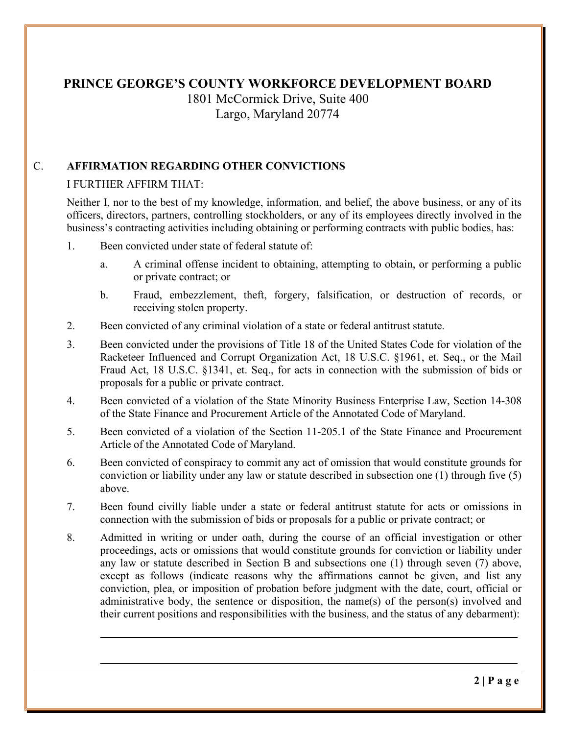# **PRINCE GEORGE'S COUNTY WORKFORCE DEVELOPMENT BOARD**

1801 McCormick Drive, Suite 400 Largo, Maryland 20774

# C. **AFFIRMATION REGARDING OTHER CONVICTIONS**

## I FURTHER AFFIRM THAT:

Neither I, nor to the best of my knowledge, information, and belief, the above business, or any of its officers, directors, partners, controlling stockholders, or any of its employees directly involved in the business's contracting activities including obtaining or performing contracts with public bodies, has:

- 1. Been convicted under state of federal statute of:
	- a. A criminal offense incident to obtaining, attempting to obtain, or performing a public or private contract; or
	- b. Fraud, embezzlement, theft, forgery, falsification, or destruction of records, or receiving stolen property.
- 2. Been convicted of any criminal violation of a state or federal antitrust statute.
- 3. Been convicted under the provisions of Title 18 of the United States Code for violation of the Racketeer Influenced and Corrupt Organization Act, 18 U.S.C. §1961, et. Seq., or the Mail Fraud Act, 18 U.S.C. §1341, et. Seq., for acts in connection with the submission of bids or proposals for a public or private contract.
- 4. Been convicted of a violation of the State Minority Business Enterprise Law, Section 14-308 of the State Finance and Procurement Article of the Annotated Code of Maryland.
- 5. Been convicted of a violation of the Section 11-205.1 of the State Finance and Procurement Article of the Annotated Code of Maryland.
- 6. Been convicted of conspiracy to commit any act of omission that would constitute grounds for conviction or liability under any law or statute described in subsection one (1) through five (5) above.
- 7. Been found civilly liable under a state or federal antitrust statute for acts or omissions in connection with the submission of bids or proposals for a public or private contract; or
- 8. Admitted in writing or under oath, during the course of an official investigation or other proceedings, acts or omissions that would constitute grounds for conviction or liability under any law or statute described in Section B and subsections one (1) through seven (7) above, except as follows (indicate reasons why the affirmations cannot be given, and list any conviction, plea, or imposition of probation before judgment with the date, court, official or administrative body, the sentence or disposition, the name(s) of the person(s) involved and their current positions and responsibilities with the business, and the status of any debarment):

 $\mathcal{L}_\text{max} = \frac{1}{2} \sum_{i=1}^{n} \frac{1}{2} \sum_{i=1}^{n} \frac{1}{2} \sum_{i=1}^{n} \frac{1}{2} \sum_{i=1}^{n} \frac{1}{2} \sum_{i=1}^{n} \frac{1}{2} \sum_{i=1}^{n} \frac{1}{2} \sum_{i=1}^{n} \frac{1}{2} \sum_{i=1}^{n} \frac{1}{2} \sum_{i=1}^{n} \frac{1}{2} \sum_{i=1}^{n} \frac{1}{2} \sum_{i=1}^{n} \frac{1}{2} \sum_{i=1}^{n} \frac{1$ 

\_\_\_\_\_\_\_\_\_\_\_\_\_\_\_\_\_\_\_\_\_\_\_\_\_\_\_\_\_\_\_\_\_\_\_\_\_\_\_\_\_\_\_\_\_\_\_\_\_\_\_\_\_\_\_\_\_\_\_\_\_\_\_\_\_\_\_\_\_\_\_\_\_\_\_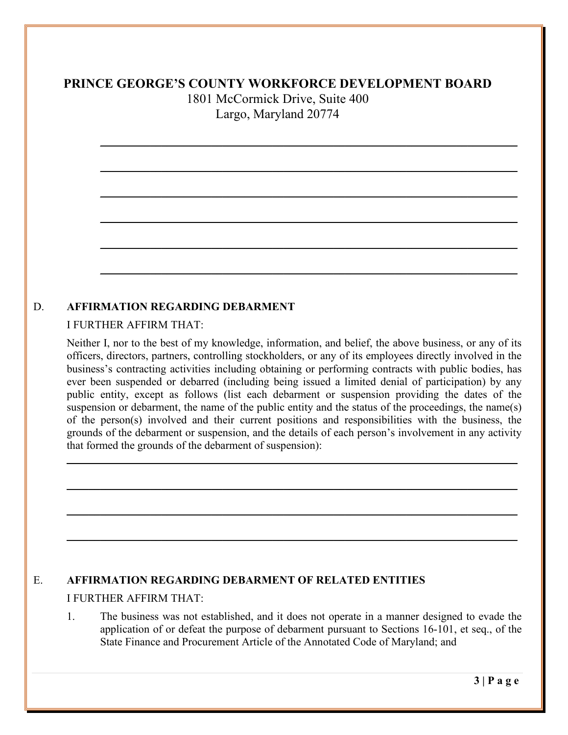\_\_\_\_\_\_\_\_\_\_\_\_\_\_\_\_\_\_\_\_\_\_\_\_\_\_\_\_\_\_\_\_\_\_\_\_\_\_\_\_\_\_\_\_\_\_\_\_\_\_\_\_\_\_\_\_\_\_\_\_\_\_\_\_\_\_\_\_\_\_\_\_\_\_\_

 $\mathcal{L}_\text{max} = \frac{1}{2} \sum_{i=1}^{n} \frac{1}{2} \sum_{i=1}^{n} \frac{1}{2} \sum_{i=1}^{n} \frac{1}{2} \sum_{i=1}^{n} \frac{1}{2} \sum_{i=1}^{n} \frac{1}{2} \sum_{i=1}^{n} \frac{1}{2} \sum_{i=1}^{n} \frac{1}{2} \sum_{i=1}^{n} \frac{1}{2} \sum_{i=1}^{n} \frac{1}{2} \sum_{i=1}^{n} \frac{1}{2} \sum_{i=1}^{n} \frac{1}{2} \sum_{i=1}^{n} \frac{1$ 

 $\mathcal{L}_\mathcal{L} = \mathcal{L}_\mathcal{L} = \mathcal{L}_\mathcal{L} = \mathcal{L}_\mathcal{L} = \mathcal{L}_\mathcal{L} = \mathcal{L}_\mathcal{L} = \mathcal{L}_\mathcal{L} = \mathcal{L}_\mathcal{L} = \mathcal{L}_\mathcal{L} = \mathcal{L}_\mathcal{L} = \mathcal{L}_\mathcal{L} = \mathcal{L}_\mathcal{L} = \mathcal{L}_\mathcal{L} = \mathcal{L}_\mathcal{L} = \mathcal{L}_\mathcal{L} = \mathcal{L}_\mathcal{L} = \mathcal{L}_\mathcal{L}$ 

\_\_\_\_\_\_\_\_\_\_\_\_\_\_\_\_\_\_\_\_\_\_\_\_\_\_\_\_\_\_\_\_\_\_\_\_\_\_\_\_\_\_\_\_\_\_\_\_\_\_\_\_\_\_\_\_\_\_\_\_\_\_\_\_\_\_\_\_\_\_\_\_\_\_\_

 $\mathcal{L}_\mathcal{L} = \mathcal{L}_\mathcal{L} = \mathcal{L}_\mathcal{L} = \mathcal{L}_\mathcal{L} = \mathcal{L}_\mathcal{L} = \mathcal{L}_\mathcal{L} = \mathcal{L}_\mathcal{L} = \mathcal{L}_\mathcal{L} = \mathcal{L}_\mathcal{L} = \mathcal{L}_\mathcal{L} = \mathcal{L}_\mathcal{L} = \mathcal{L}_\mathcal{L} = \mathcal{L}_\mathcal{L} = \mathcal{L}_\mathcal{L} = \mathcal{L}_\mathcal{L} = \mathcal{L}_\mathcal{L} = \mathcal{L}_\mathcal{L}$ 

\_\_\_\_\_\_\_\_\_\_\_\_\_\_\_\_\_\_\_\_\_\_\_\_\_\_\_\_\_\_\_\_\_\_\_\_\_\_\_\_\_\_\_\_\_\_\_\_\_\_\_\_\_\_\_\_\_\_\_\_\_\_\_\_\_\_\_\_\_\_\_\_\_\_\_

### D. **AFFIRMATION REGARDING DEBARMENT**

#### I FURTHER AFFIRM THAT:

Neither I, nor to the best of my knowledge, information, and belief, the above business, or any of its officers, directors, partners, controlling stockholders, or any of its employees directly involved in the business's contracting activities including obtaining or performing contracts with public bodies, has ever been suspended or debarred (including being issued a limited denial of participation) by any public entity, except as follows (list each debarment or suspension providing the dates of the suspension or debarment, the name of the public entity and the status of the proceedings, the name(s) of the person(s) involved and their current positions and responsibilities with the business, the grounds of the debarment or suspension, and the details of each person's involvement in any activity that formed the grounds of the debarment of suspension):

\_\_\_\_\_\_\_\_\_\_\_\_\_\_\_\_\_\_\_\_\_\_\_\_\_\_\_\_\_\_\_\_\_\_\_\_\_\_\_\_\_\_\_\_\_\_\_\_\_\_\_\_\_\_\_\_\_\_\_\_\_\_\_\_\_\_\_\_\_\_\_\_\_\_\_\_\_\_\_\_\_

 $\mathcal{L}_\mathcal{L} = \mathcal{L}_\mathcal{L} = \mathcal{L}_\mathcal{L} = \mathcal{L}_\mathcal{L} = \mathcal{L}_\mathcal{L} = \mathcal{L}_\mathcal{L} = \mathcal{L}_\mathcal{L} = \mathcal{L}_\mathcal{L} = \mathcal{L}_\mathcal{L} = \mathcal{L}_\mathcal{L} = \mathcal{L}_\mathcal{L} = \mathcal{L}_\mathcal{L} = \mathcal{L}_\mathcal{L} = \mathcal{L}_\mathcal{L} = \mathcal{L}_\mathcal{L} = \mathcal{L}_\mathcal{L} = \mathcal{L}_\mathcal{L}$ 

\_\_\_\_\_\_\_\_\_\_\_\_\_\_\_\_\_\_\_\_\_\_\_\_\_\_\_\_\_\_\_\_\_\_\_\_\_\_\_\_\_\_\_\_\_\_\_\_\_\_\_\_\_\_\_\_\_\_\_\_\_\_\_\_\_\_\_\_\_\_\_\_\_\_\_\_\_\_\_\_\_

 $\mathcal{L}_\mathcal{L} = \mathcal{L}_\mathcal{L} = \mathcal{L}_\mathcal{L} = \mathcal{L}_\mathcal{L} = \mathcal{L}_\mathcal{L} = \mathcal{L}_\mathcal{L} = \mathcal{L}_\mathcal{L} = \mathcal{L}_\mathcal{L} = \mathcal{L}_\mathcal{L} = \mathcal{L}_\mathcal{L} = \mathcal{L}_\mathcal{L} = \mathcal{L}_\mathcal{L} = \mathcal{L}_\mathcal{L} = \mathcal{L}_\mathcal{L} = \mathcal{L}_\mathcal{L} = \mathcal{L}_\mathcal{L} = \mathcal{L}_\mathcal{L}$ 

# E. **AFFIRMATION REGARDING DEBARMENT OF RELATED ENTITIES**

#### I FURTHER AFFIRM THAT:

1. The business was not established, and it does not operate in a manner designed to evade the application of or defeat the purpose of debarment pursuant to Sections 16-101, et seq., of the State Finance and Procurement Article of the Annotated Code of Maryland; and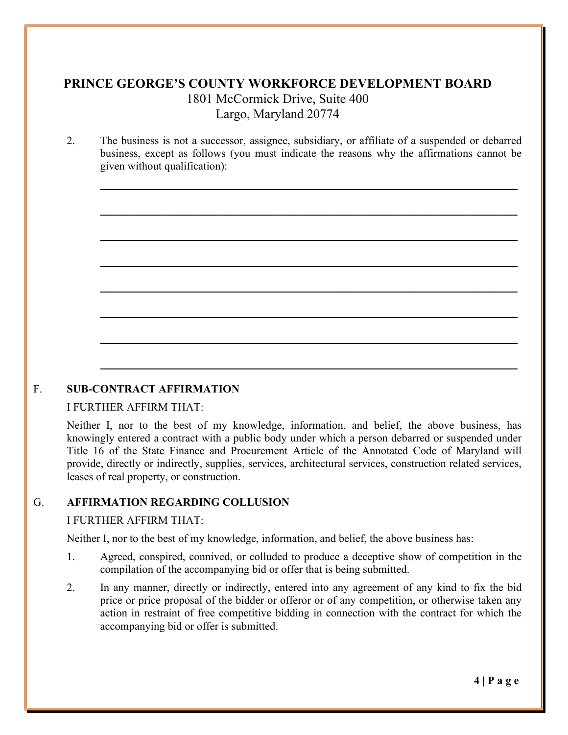2. The business is not a successor, assignee, subsidiary, or affiliate of a suspended or debarred business, except as follows (you must indicate the reasons why the affirmations cannot be given without qualification):

\_\_\_\_\_\_\_\_\_\_\_\_\_\_\_\_\_\_\_\_\_\_\_\_\_\_\_\_\_\_\_\_\_\_\_\_\_\_\_\_\_\_\_\_\_\_\_\_\_\_\_\_\_\_\_\_\_\_\_\_\_\_\_\_\_\_\_\_\_\_\_\_\_\_\_

 $\mathcal{L}_\mathcal{L} = \mathcal{L}_\mathcal{L} = \mathcal{L}_\mathcal{L} = \mathcal{L}_\mathcal{L} = \mathcal{L}_\mathcal{L} = \mathcal{L}_\mathcal{L} = \mathcal{L}_\mathcal{L} = \mathcal{L}_\mathcal{L} = \mathcal{L}_\mathcal{L} = \mathcal{L}_\mathcal{L} = \mathcal{L}_\mathcal{L} = \mathcal{L}_\mathcal{L} = \mathcal{L}_\mathcal{L} = \mathcal{L}_\mathcal{L} = \mathcal{L}_\mathcal{L} = \mathcal{L}_\mathcal{L} = \mathcal{L}_\mathcal{L}$ 

\_\_\_\_\_\_\_\_\_\_\_\_\_\_\_\_\_\_\_\_\_\_\_\_\_\_\_\_\_\_\_\_\_\_\_\_\_\_\_\_\_\_\_\_\_\_\_\_\_\_\_\_\_\_\_\_\_\_\_\_\_\_\_\_\_\_\_\_\_\_\_\_\_\_\_

 $\mathcal{L}_\text{max} = \frac{1}{2} \sum_{i=1}^{n} \frac{1}{2} \sum_{i=1}^{n} \frac{1}{2} \sum_{i=1}^{n} \frac{1}{2} \sum_{i=1}^{n} \frac{1}{2} \sum_{i=1}^{n} \frac{1}{2} \sum_{i=1}^{n} \frac{1}{2} \sum_{i=1}^{n} \frac{1}{2} \sum_{i=1}^{n} \frac{1}{2} \sum_{i=1}^{n} \frac{1}{2} \sum_{i=1}^{n} \frac{1}{2} \sum_{i=1}^{n} \frac{1}{2} \sum_{i=1}^{n} \frac{1$ 

 $\mathcal{L}_\mathcal{L} = \mathcal{L}_\mathcal{L} = \mathcal{L}_\mathcal{L} = \mathcal{L}_\mathcal{L} = \mathcal{L}_\mathcal{L} = \mathcal{L}_\mathcal{L} = \mathcal{L}_\mathcal{L} = \mathcal{L}_\mathcal{L} = \mathcal{L}_\mathcal{L} = \mathcal{L}_\mathcal{L} = \mathcal{L}_\mathcal{L} = \mathcal{L}_\mathcal{L} = \mathcal{L}_\mathcal{L} = \mathcal{L}_\mathcal{L} = \mathcal{L}_\mathcal{L} = \mathcal{L}_\mathcal{L} = \mathcal{L}_\mathcal{L}$ 

\_\_\_\_\_\_\_\_\_\_\_\_\_\_\_\_\_\_\_\_\_\_\_\_\_\_\_\_\_\_\_\_\_\_\_\_\_\_\_\_\_\_\_\_\_\_\_\_\_\_\_\_\_\_\_\_\_\_\_\_\_\_\_\_\_\_\_\_\_\_\_\_\_\_\_

 $\mathcal{L}_\mathcal{L} = \mathcal{L}_\mathcal{L} = \mathcal{L}_\mathcal{L} = \mathcal{L}_\mathcal{L} = \mathcal{L}_\mathcal{L} = \mathcal{L}_\mathcal{L} = \mathcal{L}_\mathcal{L} = \mathcal{L}_\mathcal{L} = \mathcal{L}_\mathcal{L} = \mathcal{L}_\mathcal{L} = \mathcal{L}_\mathcal{L} = \mathcal{L}_\mathcal{L} = \mathcal{L}_\mathcal{L} = \mathcal{L}_\mathcal{L} = \mathcal{L}_\mathcal{L} = \mathcal{L}_\mathcal{L} = \mathcal{L}_\mathcal{L}$ 

\_\_\_\_\_\_\_\_\_\_\_\_\_\_\_\_\_\_\_\_\_\_\_\_\_\_\_\_\_\_\_\_\_\_\_\_\_\_\_\_\_\_\_\_\_\_\_\_\_\_\_\_\_\_\_\_\_\_\_\_\_\_\_\_\_\_\_\_\_\_\_\_\_\_\_

## F. **SUB-CONTRACT AFFIRMATION**

#### I FURTHER AFFIRM THAT:

Neither I, nor to the best of my knowledge, information, and belief, the above business, has knowingly entered a contract with a public body under which a person debarred or suspended under Title 16 of the State Finance and Procurement Article of the Annotated Code of Maryland will provide, directly or indirectly, supplies, services, architectural services, construction related services, leases of real property, or construction.

#### G. **AFFIRMATION REGARDING COLLUSION**

#### I FURTHER AFFIRM THAT:

Neither I, nor to the best of my knowledge, information, and belief, the above business has:

- 1. Agreed, conspired, connived, or colluded to produce a deceptive show of competition in the compilation of the accompanying bid or offer that is being submitted.
- 2. In any manner, directly or indirectly, entered into any agreement of any kind to fix the bid price or price proposal of the bidder or offeror or of any competition, or otherwise taken any action in restraint of free competitive bidding in connection with the contract for which the accompanying bid or offer is submitted.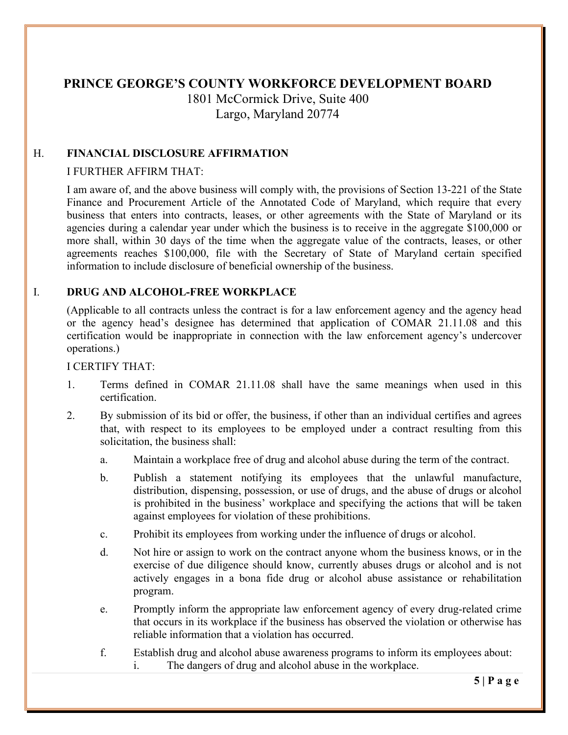# **PRINCE GEORGE'S COUNTY WORKFORCE DEVELOPMENT BOARD**  1801 McCormick Drive, Suite 400

Largo, Maryland 20774

# H. **FINANCIAL DISCLOSURE AFFIRMATION**

### I FURTHER AFFIRM THAT:

I am aware of, and the above business will comply with, the provisions of Section 13-221 of the State Finance and Procurement Article of the Annotated Code of Maryland, which require that every business that enters into contracts, leases, or other agreements with the State of Maryland or its agencies during a calendar year under which the business is to receive in the aggregate \$100,000 or more shall, within 30 days of the time when the aggregate value of the contracts, leases, or other agreements reaches \$100,000, file with the Secretary of State of Maryland certain specified information to include disclosure of beneficial ownership of the business.

### I. **DRUG AND ALCOHOL-FREE WORKPLACE**

(Applicable to all contracts unless the contract is for a law enforcement agency and the agency head or the agency head's designee has determined that application of COMAR 21.11.08 and this certification would be inappropriate in connection with the law enforcement agency's undercover operations.)

#### I CERTIFY THAT:

- 1. Terms defined in COMAR 21.11.08 shall have the same meanings when used in this certification.
- 2. By submission of its bid or offer, the business, if other than an individual certifies and agrees that, with respect to its employees to be employed under a contract resulting from this solicitation, the business shall:
	- a. Maintain a workplace free of drug and alcohol abuse during the term of the contract.
	- b. Publish a statement notifying its employees that the unlawful manufacture, distribution, dispensing, possession, or use of drugs, and the abuse of drugs or alcohol is prohibited in the business' workplace and specifying the actions that will be taken against employees for violation of these prohibitions.
	- c. Prohibit its employees from working under the influence of drugs or alcohol.
	- d. Not hire or assign to work on the contract anyone whom the business knows, or in the exercise of due diligence should know, currently abuses drugs or alcohol and is not actively engages in a bona fide drug or alcohol abuse assistance or rehabilitation program.
	- e. Promptly inform the appropriate law enforcement agency of every drug-related crime that occurs in its workplace if the business has observed the violation or otherwise has reliable information that a violation has occurred.
	- f. Establish drug and alcohol abuse awareness programs to inform its employees about: i. The dangers of drug and alcohol abuse in the workplace.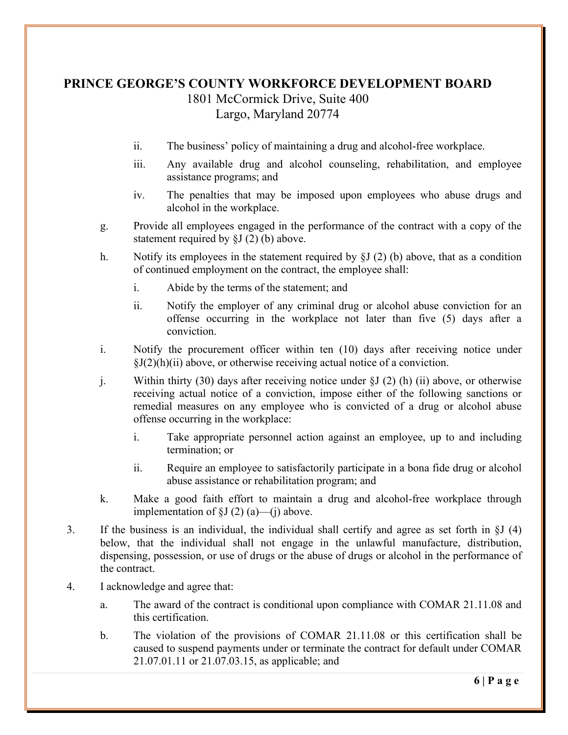- ii. The business' policy of maintaining a drug and alcohol-free workplace.
- iii. Any available drug and alcohol counseling, rehabilitation, and employee assistance programs; and
- iv. The penalties that may be imposed upon employees who abuse drugs and alcohol in the workplace.
- g. Provide all employees engaged in the performance of the contract with a copy of the statement required by §J (2) (b) above.
- h. Notify its employees in the statement required by §J (2) (b) above, that as a condition of continued employment on the contract, the employee shall:
	- i. Abide by the terms of the statement; and
	- ii. Notify the employer of any criminal drug or alcohol abuse conviction for an offense occurring in the workplace not later than five (5) days after a conviction.
- i. Notify the procurement officer within ten (10) days after receiving notice under  $\S J(2)(h)(ii)$  above, or otherwise receiving actual notice of a conviction.
- j. Within thirty (30) days after receiving notice under §J (2) (h) (ii) above, or otherwise receiving actual notice of a conviction, impose either of the following sanctions or remedial measures on any employee who is convicted of a drug or alcohol abuse offense occurring in the workplace:
	- i. Take appropriate personnel action against an employee, up to and including termination; or
	- ii. Require an employee to satisfactorily participate in a bona fide drug or alcohol abuse assistance or rehabilitation program; and
- k. Make a good faith effort to maintain a drug and alcohol-free workplace through implementation of  $\S J(2)$  (a)—(j) above.
- 3. If the business is an individual, the individual shall certify and agree as set forth in §J (4) below, that the individual shall not engage in the unlawful manufacture, distribution, dispensing, possession, or use of drugs or the abuse of drugs or alcohol in the performance of the contract.
- 4. I acknowledge and agree that:
	- a. The award of the contract is conditional upon compliance with COMAR 21.11.08 and this certification.
	- b. The violation of the provisions of COMAR 21.11.08 or this certification shall be caused to suspend payments under or terminate the contract for default under COMAR 21.07.01.11 or 21.07.03.15, as applicable; and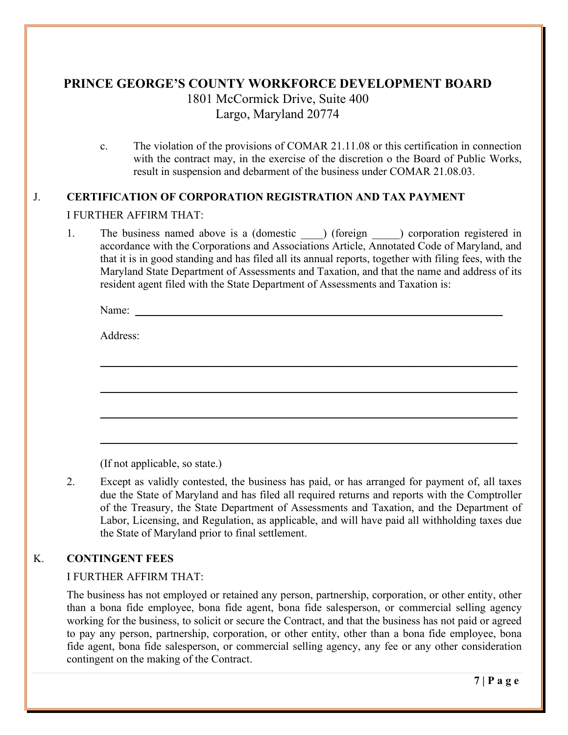c. The violation of the provisions of COMAR 21.11.08 or this certification in connection with the contract may, in the exercise of the discretion o the Board of Public Works, result in suspension and debarment of the business under COMAR 21.08.03.

# J. **CERTIFICATION OF CORPORATION REGISTRATION AND TAX PAYMENT** I FURTHER AFFIRM THAT:

1. The business named above is a (domestic ) (foreign ) corporation registered in accordance with the Corporations and Associations Article, Annotated Code of Maryland, and that it is in good standing and has filed all its annual reports, together with filing fees, with the Maryland State Department of Assessments and Taxation, and that the name and address of its resident agent filed with the State Department of Assessments and Taxation is:

 $\mathcal{L}_\text{max} = \frac{1}{2} \sum_{i=1}^{n} \frac{1}{2} \sum_{i=1}^{n} \frac{1}{2} \sum_{i=1}^{n} \frac{1}{2} \sum_{i=1}^{n} \frac{1}{2} \sum_{i=1}^{n} \frac{1}{2} \sum_{i=1}^{n} \frac{1}{2} \sum_{i=1}^{n} \frac{1}{2} \sum_{i=1}^{n} \frac{1}{2} \sum_{i=1}^{n} \frac{1}{2} \sum_{i=1}^{n} \frac{1}{2} \sum_{i=1}^{n} \frac{1}{2} \sum_{i=1}^{n} \frac{1$ 

 $\mathcal{L}_\mathcal{L} = \mathcal{L}_\mathcal{L} = \mathcal{L}_\mathcal{L} = \mathcal{L}_\mathcal{L} = \mathcal{L}_\mathcal{L} = \mathcal{L}_\mathcal{L} = \mathcal{L}_\mathcal{L} = \mathcal{L}_\mathcal{L} = \mathcal{L}_\mathcal{L} = \mathcal{L}_\mathcal{L} = \mathcal{L}_\mathcal{L} = \mathcal{L}_\mathcal{L} = \mathcal{L}_\mathcal{L} = \mathcal{L}_\mathcal{L} = \mathcal{L}_\mathcal{L} = \mathcal{L}_\mathcal{L} = \mathcal{L}_\mathcal{L}$ 

\_\_\_\_\_\_\_\_\_\_\_\_\_\_\_\_\_\_\_\_\_\_\_\_\_\_\_\_\_\_\_\_\_\_\_\_\_\_\_\_\_\_\_\_\_\_\_\_\_\_\_\_\_\_\_\_\_\_\_\_\_\_\_\_\_\_\_\_\_\_\_\_\_\_\_

 $\mathcal{L}_\mathcal{L} = \mathcal{L}_\mathcal{L} = \mathcal{L}_\mathcal{L} = \mathcal{L}_\mathcal{L} = \mathcal{L}_\mathcal{L} = \mathcal{L}_\mathcal{L} = \mathcal{L}_\mathcal{L} = \mathcal{L}_\mathcal{L} = \mathcal{L}_\mathcal{L} = \mathcal{L}_\mathcal{L} = \mathcal{L}_\mathcal{L} = \mathcal{L}_\mathcal{L} = \mathcal{L}_\mathcal{L} = \mathcal{L}_\mathcal{L} = \mathcal{L}_\mathcal{L} = \mathcal{L}_\mathcal{L} = \mathcal{L}_\mathcal{L}$ 

Name:

Address:

(If not applicable, so state.)

2. Except as validly contested, the business has paid, or has arranged for payment of, all taxes due the State of Maryland and has filed all required returns and reports with the Comptroller of the Treasury, the State Department of Assessments and Taxation, and the Department of Labor, Licensing, and Regulation, as applicable, and will have paid all withholding taxes due the State of Maryland prior to final settlement.

## K. **CONTINGENT FEES**

I FURTHER AFFIRM THAT:

The business has not employed or retained any person, partnership, corporation, or other entity, other than a bona fide employee, bona fide agent, bona fide salesperson, or commercial selling agency working for the business, to solicit or secure the Contract, and that the business has not paid or agreed to pay any person, partnership, corporation, or other entity, other than a bona fide employee, bona fide agent, bona fide salesperson, or commercial selling agency, any fee or any other consideration contingent on the making of the Contract.